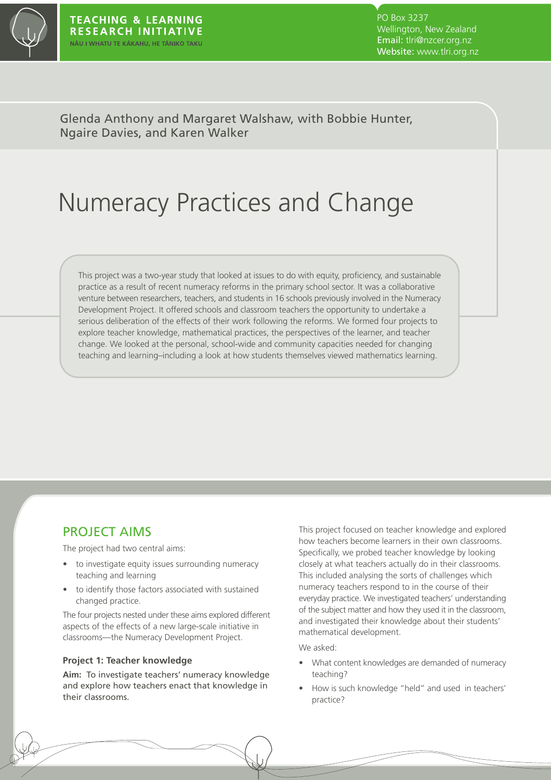

PO Box 3237 Wellington, New Zealand Email: tlri@nzcer.org.nz Website: www.tlri.org.nz

Glenda Anthony and Margaret Walshaw, with Bobbie Hunter, Ngaire Davies, and Karen Walker

# Numeracy Practices and Change

This project was a two-year study that looked at issues to do with equity, proficiency, and sustainable practice as a result of recent numeracy reforms in the primary school sector. It was a collaborative venture between researchers, teachers, and students in 16 schools previously involved in the Numeracy Development Project. It offered schools and classroom teachers the opportunity to undertake a serious deliberation of the effects of their work following the reforms. We formed four projects to explore teacher knowledge, mathematical practices, the perspectives of the learner, and teacher change. We looked at the personal, school-wide and community capacities needed for changing teaching and learning–including a look at how students themselves viewed mathematics learning.

### PROJECT AIMS

The project had two central aims:

- to investigate equity issues surrounding numeracy teaching and learning
- to identify those factors associated with sustained changed practice.

The four projects nested under these aims explored different aspects of the effects of a new large-scale initiative in classrooms—the Numeracy Development Project.

#### **Project 1: Teacher knowledge**

**Aim:** To investigate teachers' numeracy knowledge and explore how teachers enact that knowledge in their classrooms.

This project focused on teacher knowledge and explored how teachers become learners in their own classrooms. Specifically, we probed teacher knowledge by looking closely at what teachers actually do in their classrooms. This included analysing the sorts of challenges which numeracy teachers respond to in the course of their everyday practice. We investigated teachers' understanding of the subject matter and how they used it in the classroom, and investigated their knowledge about their students' mathematical development.

We asked:

- What content knowledges are demanded of numeracy teaching?
- How is such knowledge "held" and used in teachers' practice?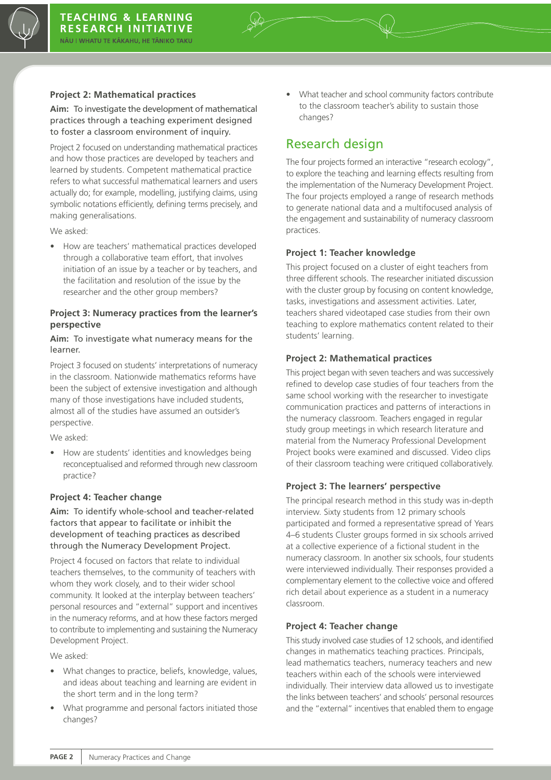

#### **Project 2: Mathematical practices**

**Aim:** To investigate the development of mathematical practices through a teaching experiment designed to foster a classroom environment of inquiry.

Project 2 focused on understanding mathematical practices and how those practices are developed by teachers and learned by students. Competent mathematical practice refers to what successful mathematical learners and users actually do; for example, modelling, justifying claims, using symbolic notations efficiently, defining terms precisely, and making generalisations.

We asked:

• How are teachers' mathematical practices developed through a collaborative team effort, that involves initiation of an issue by a teacher or by teachers, and the facilitation and resolution of the issue by the researcher and the other group members?

#### **Project 3: Numeracy practices from the learner's perspective**

**Aim:** To investigate what numeracy means for the learner.

Project 3 focused on students' interpretations of numeracy in the classroom. Nationwide mathematics reforms have been the subject of extensive investigation and although many of those investigations have included students, almost all of the studies have assumed an outsider's perspective.

We asked:

• How are students' identities and knowledges being reconceptualised and reformed through new classroom practice?

#### **Project 4: Teacher change**

**Aim:** To identify whole-school and teacher-related factors that appear to facilitate or inhibit the development of teaching practices as described through the Numeracy Development Project.

Project 4 focused on factors that relate to individual teachers themselves, to the community of teachers with whom they work closely, and to their wider school community. It looked at the interplay between teachers' personal resources and "external" support and incentives in the numeracy reforms, and at how these factors merged to contribute to implementing and sustaining the Numeracy Development Project.

We asked:

- What changes to practice, beliefs, knowledge, values, and ideas about teaching and learning are evident in the short term and in the long term?
- What programme and personal factors initiated those changes?

• What teacher and school community factors contribute to the classroom teacher's ability to sustain those changes?

### Research design

The four projects formed an interactive "research ecology", to explore the teaching and learning effects resulting from the implementation of the Numeracy Development Project. The four projects employed a range of research methods to generate national data and a multifocused analysis of the engagement and sustainability of numeracy classroom practices.

#### **Project 1: Teacher knowledge**

This project focused on a cluster of eight teachers from three different schools. The researcher initiated discussion with the cluster group by focusing on content knowledge, tasks, investigations and assessment activities. Later, teachers shared videotaped case studies from their own teaching to explore mathematics content related to their students' learning.

#### **Project 2: Mathematical practices**

This project began with seven teachers and was successively refined to develop case studies of four teachers from the same school working with the researcher to investigate communication practices and patterns of interactions in the numeracy classroom. Teachers engaged in regular study group meetings in which research literature and material from the Numeracy Professional Development Project books were examined and discussed. Video clips of their classroom teaching were critiqued collaboratively.

#### **Project 3: The learners' perspective**

The principal research method in this study was in-depth interview. Sixty students from 12 primary schools participated and formed a representative spread of Years 4–6 students Cluster groups formed in six schools arrived at a collective experience of a fictional student in the numeracy classroom. In another six schools, four students were interviewed individually. Their responses provided a complementary element to the collective voice and offered rich detail about experience as a student in a numeracy classroom.

#### **Project 4: Teacher change**

This study involved case studies of 12 schools, and identified changes in mathematics teaching practices. Principals, lead mathematics teachers, numeracy teachers and new teachers within each of the schools were interviewed individually. Their interview data allowed us to investigate the links between teachers' and schools' personal resources and the "external" incentives that enabled them to engage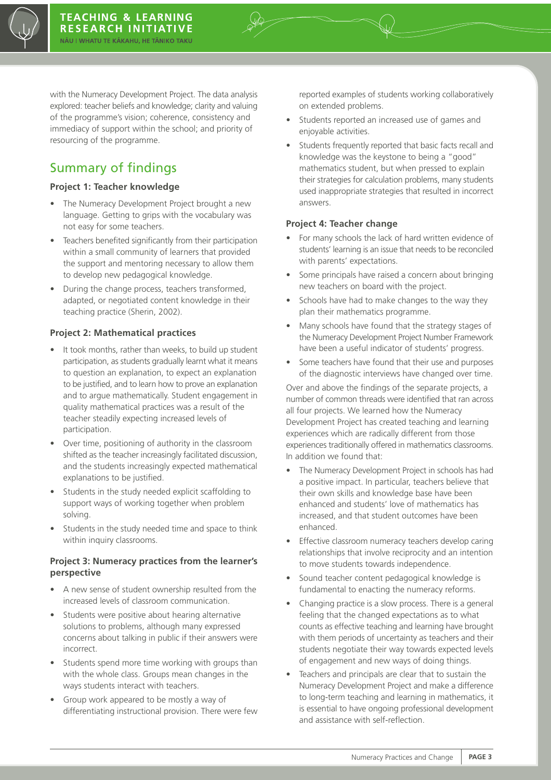

with the Numeracy Development Project. The data analysis explored: teacher beliefs and knowledge; clarity and valuing of the programme's vision; coherence, consistency and immediacy of support within the school; and priority of resourcing of the programme.

## Summary of findings

#### **Project 1: Teacher knowledge**

- The Numeracy Development Project brought a new language. Getting to grips with the vocabulary was not easy for some teachers.
- Teachers benefited significantly from their participation within a small community of learners that provided the support and mentoring necessary to allow them to develop new pedagogical knowledge.
- During the change process, teachers transformed, adapted, or negotiated content knowledge in their teaching practice (Sherin, 2002).

#### **Project 2: Mathematical practices**

- It took months, rather than weeks, to build up student participation, as students gradually learnt what it means to question an explanation, to expect an explanation to be justified, and to learn how to prove an explanation and to argue mathematically. Student engagement in quality mathematical practices was a result of the teacher steadily expecting increased levels of participation.
- Over time, positioning of authority in the classroom shifted as the teacher increasingly facilitated discussion, and the students increasingly expected mathematical explanations to be justified.
- Students in the study needed explicit scaffolding to support ways of working together when problem solving.
- Students in the study needed time and space to think within inquiry classrooms.

#### **Project 3: Numeracy practices from the learner's perspective**

- A new sense of student ownership resulted from the increased levels of classroom communication.
- Students were positive about hearing alternative solutions to problems, although many expressed concerns about talking in public if their answers were incorrect.
- Students spend more time working with groups than with the whole class. Groups mean changes in the ways students interact with teachers.
- Group work appeared to be mostly a way of differentiating instructional provision. There were few

reported examples of students working collaboratively on extended problems.

- Students reported an increased use of games and enjoyable activities.
- Students frequently reported that basic facts recall and knowledge was the keystone to being a "good" mathematics student, but when pressed to explain their strategies for calculation problems, many students used inappropriate strategies that resulted in incorrect answers.

#### **Project 4: Teacher change**

- For many schools the lack of hard written evidence of students' learning is an issue that needs to be reconciled with parents' expectations.
- Some principals have raised a concern about bringing new teachers on board with the project.
- Schools have had to make changes to the way they plan their mathematics programme.
- Many schools have found that the strategy stages of the Numeracy Development Project Number Framework have been a useful indicator of students' progress.
- Some teachers have found that their use and purposes of the diagnostic interviews have changed over time.

Over and above the findings of the separate projects, a number of common threads were identified that ran across all four projects. We learned how the Numeracy Development Project has created teaching and learning experiences which are radically different from those experiences traditionally offered in mathematics classrooms. In addition we found that:

- The Numeracy Development Project in schools has had a positive impact. In particular, teachers believe that their own skills and knowledge base have been enhanced and students' love of mathematics has increased, and that student outcomes have been enhanced.
- Effective classroom numeracy teachers develop caring relationships that involve reciprocity and an intention to move students towards independence.
- Sound teacher content pedagogical knowledge is fundamental to enacting the numeracy reforms.
- Changing practice is a slow process. There is a general feeling that the changed expectations as to what counts as effective teaching and learning have brought with them periods of uncertainty as teachers and their students negotiate their way towards expected levels of engagement and new ways of doing things.
- Teachers and principals are clear that to sustain the Numeracy Development Project and make a difference to long-term teaching and learning in mathematics, it is essential to have ongoing professional development and assistance with self-reflection.